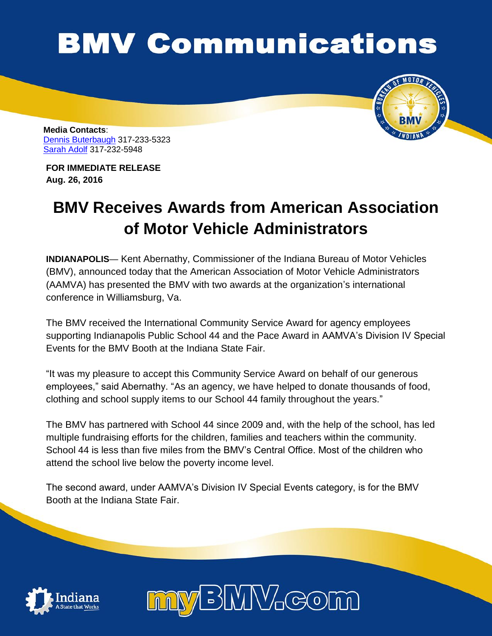## **BMV Communications**



**Media Contacts**: [Dennis Buterbaugh](mailto:dbuterbaugh@bmv.in.gov) 317-233-5323 [Sarah Adolf](mailto:saadolf@bmv.in.gov) 317-232-5948

**FOR IMMEDIATE RELEASE Aug. 26, 2016**

## **BMV Receives Awards from American Association of Motor Vehicle Administrators**

**INDIANAPOLIS**— Kent Abernathy, Commissioner of the Indiana Bureau of Motor Vehicles (BMV), announced today that the American Association of Motor Vehicle Administrators (AAMVA) has presented the BMV with two awards at the organization's international conference in Williamsburg, Va.

The BMV received the International Community Service Award for agency employees supporting Indianapolis Public School 44 and the Pace Award in AAMVA's Division IV Special Events for the BMV Booth at the Indiana State Fair.

"It was my pleasure to accept this Community Service Award on behalf of our generous employees," said Abernathy. "As an agency, we have helped to donate thousands of food, clothing and school supply items to our School 44 family throughout the years."

The BMV has partnered with School 44 since 2009 and, with the help of the school, has led multiple fundraising efforts for the children, families and teachers within the community. School 44 is less than five miles from the BMV's Central Office. Most of the children who attend the school live below the poverty income level.

The second award, under AAMVA's Division IV Special Events category, is for the BMV Booth at the Indiana State Fair.